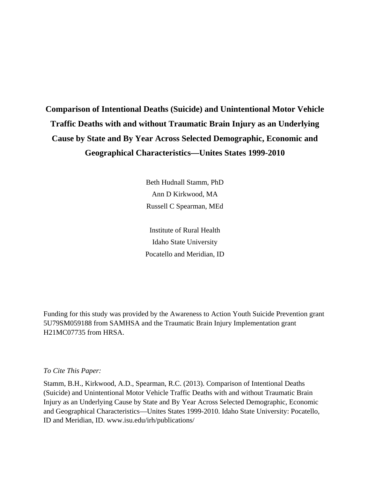# **Comparison of Intentional Deaths (Suicide) and Unintentional Motor Vehicle Traffic Deaths with and without Traumatic Brain Injury as an Underlying Cause by State and By Year Across Selected Demographic, Economic and Geographical Characteristics—Unites States 1999-2010**

Beth Hudnall Stamm, PhD Ann D Kirkwood, MA Russell C Spearman, MEd

Institute of Rural Health Idaho State University Pocatello and Meridian, ID

Funding for this study was provided by the Awareness to Action Youth Suicide Prevention grant 5U79SM059188 from SAMHSA and the Traumatic Brain Injury Implementation grant H21MC07735 from HRSA.

*To Cite This Paper:* 

Stamm, B.H., Kirkwood, A.D., Spearman, R.C. (2013). Comparison of Intentional Deaths (Suicide) and Unintentional Motor Vehicle Traffic Deaths with and without Traumatic Brain Injury as an Underlying Cause by State and By Year Across Selected Demographic, Economic and Geographical Characteristics—Unites States 1999-2010. Idaho State University: Pocatello, ID and Meridian, ID. www.isu.edu/irh/publications/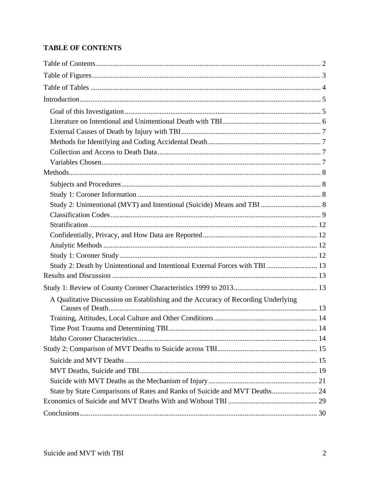## **TABLE OF CONTENTS**

| A Qualitative Discussion on Establishing and the Accuracy of Recording Underlying |  |
|-----------------------------------------------------------------------------------|--|
|                                                                                   |  |
|                                                                                   |  |
|                                                                                   |  |
|                                                                                   |  |
|                                                                                   |  |
|                                                                                   |  |
|                                                                                   |  |
|                                                                                   |  |
| State by State Comparisons of Rates and Ranks of Suicide and MVT Deaths 24        |  |
|                                                                                   |  |
|                                                                                   |  |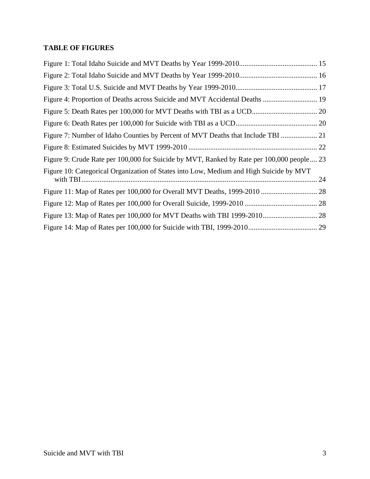### **TABLE OF FIGURES**

| Figure 4: Proportion of Deaths across Suicide and MVT Accidental Deaths  19               |    |
|-------------------------------------------------------------------------------------------|----|
|                                                                                           |    |
|                                                                                           |    |
| Figure 7: Number of Idaho Counties by Percent of MVT Deaths that Include TBI              |    |
|                                                                                           |    |
| Figure 9: Crude Rate per 100,000 for Suicide by MVT, Ranked by Rate per 100,000 people 23 |    |
| Figure 10: Categorical Organization of States into Low, Medium and High Suicide by MVT    | 24 |
|                                                                                           |    |
|                                                                                           |    |
|                                                                                           |    |
|                                                                                           |    |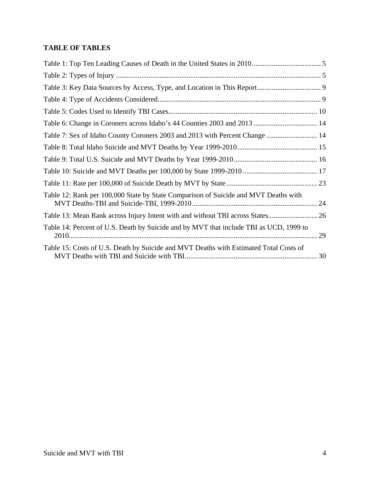### **TABLE OF TABLES**

| Table 7: Sex of Idaho County Coroners 2003 and 2013 with Percent Change  14            |  |
|----------------------------------------------------------------------------------------|--|
|                                                                                        |  |
|                                                                                        |  |
|                                                                                        |  |
|                                                                                        |  |
| Table 12: Rank per 100,000 State by State Comparison of Suicide and MVT Deaths with    |  |
| Table 13: Mean Rank across Injury Intent with and without TBI across States 26         |  |
| Table 14: Percent of U.S. Death by Suicide and by MVT that include TBI as UCD, 1999 to |  |
| Table 15: Costs of U.S. Death by Suicide and MVT Deaths with Estimated Total Costs of  |  |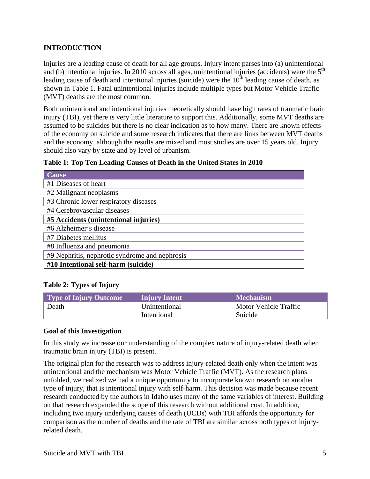#### **INTRODUCTION**

Injuries are a leading cause of death for all age groups. Injury intent parses into (a) unintentional and (b) intentional injuries. In 2010 across all ages, unintentional injuries (accidents) were the  $5<sup>th</sup>$ leading cause of death and intentional injuries (suicide) were the  $10<sup>th</sup>$  leading cause of death, as shown in Table 1. Fatal unintentional injuries include multiple types but Motor Vehicle Traffic (MVT) deaths are the most common.

Both unintentional and intentional injuries theoretically should have high rates of traumatic brain injury (TBI), yet there is very little literature to support this. Additionally, some MVT deaths are assumed to be suicides but there is no clear indication as to how many. There are known effects of the economy on suicide and some research indicates that there are links between MVT deaths and the economy, although the results are mixed and most studies are over 15 years old. Injury should also vary by state and by level of urbanism.

|  |  | Table 1: Top Ten Leading Causes of Death in the United States in 2010 |  |  |
|--|--|-----------------------------------------------------------------------|--|--|
|--|--|-----------------------------------------------------------------------|--|--|

| <b>Cause</b>                                   |
|------------------------------------------------|
| #1 Diseases of heart                           |
| #2 Malignant neoplasms                         |
| #3 Chronic lower respiratory diseases          |
| #4 Cerebrovascular diseases                    |
| #5 Accidents (unintentional injuries)          |
| #6 Alzheimer's disease                         |
| #7 Diabetes mellitus                           |
| #8 Influenza and pneumonia                     |
| #9 Nephritis, nephrotic syndrome and nephrosis |
| #10 Intentional self-harm (suicide)            |

#### **Table 2: Types of Injury**

| Type of Injury Outcome | <b>Injury Intent</b> | <b>Mechanism</b>      |
|------------------------|----------------------|-----------------------|
| Death                  | Unintentional        | Motor Vehicle Traffic |
|                        | Intentional          | Suicide               |

#### **Goal of this Investigation**

In this study we increase our understanding of the complex nature of injury-related death when traumatic brain injury (TBI) is present.

The original plan for the research was to address injury-related death only when the intent was unintentional and the mechanism was Motor Vehicle Traffic (MVT). As the research plans unfolded, we realized we had a unique opportunity to incorporate known research on another type of injury, that is intentional injury with self-harm. This decision was made because recent research conducted by the authors in Idaho uses many of the same variables of interest. Building on that research expanded the scope of this research without additional cost. In addition, including two injury underlying causes of death (UCDs) with TBI affords the opportunity for comparison as the number of deaths and the rate of TBI are similar across both types of injuryrelated death.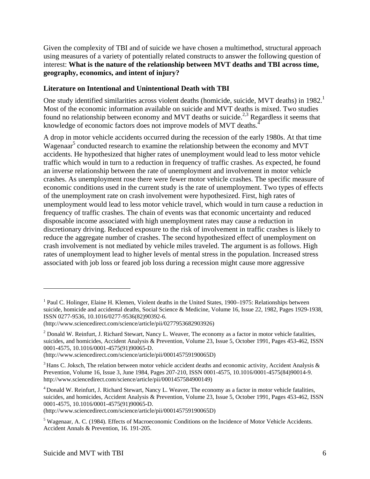Given the complexity of TBI and of suicide we have chosen a multimethod, structural approach using measures of a variety of potentially related constructs to answer the following question of interest: **What is the nature of the relationship between MVT deaths and TBI across time, geography, economics, and intent of injury?** 

#### **Literature on Intentional and Unintentional Death with TBI**

One study identified similarities across violent deaths (homicide, suicide, MVT deaths) in 1982.<sup>1</sup> Most of the economic information available on suicide and MVT deaths is mixed. Two studies found no relationship between economy and MVT deaths or suicide.<sup>2,3</sup> Regardless it seems that knowledge of economic factors does not improve models of MVT deaths.<sup>4</sup>

A drop in motor vehicle accidents occurred during the recession of the early 1980s. At that time Wagenaar<sup>5</sup> conducted research to examine the relationship between the economy and MVT accidents. He hypothesized that higher rates of unemployment would lead to less motor vehicle traffic which would in turn to a reduction in frequency of traffic crashes. As expected, he found an inverse relationship between the rate of unemployment and involvement in motor vehicle crashes. As unemployment rose there were fewer motor vehicle crashes. The specific measure of economic conditions used in the current study is the rate of unemployment. Two types of effects of the unemployment rate on crash involvement were hypothesized. First, high rates of unemployment would lead to less motor vehicle travel, which would in turn cause a reduction in frequency of traffic crashes. The chain of events was that economic uncertainty and reduced disposable income associated with high unemployment rates may cause a reduction in discretionary driving. Reduced exposure to the risk of involvement in traffic crashes is likely to reduce the aggregate number of crashes. The second hypothesized effect of unemployment on crash involvement is not mediated by vehicle miles traveled. The argument is as follows. High rates of unemployment lead to higher levels of mental stress in the population. Increased stress associated with job loss or feared job loss during a recession might cause more aggressive

(http://www.sciencedirect.com/science/article/pii/000145759190065D)

 $\overline{a}$ 

<sup>&</sup>lt;sup>1</sup> Paul C. Holinger, Elaine H. Klemen, Violent deaths in the United States, 1900–1975: Relationships between suicide, homicide and accidental deaths, Social Science & Medicine, Volume 16, Issue 22, 1982, Pages 1929-1938, ISSN 0277-9536, 10.1016/0277-9536(82)90392-6.

<sup>(</sup>http://www.sciencedirect.com/science/article/pii/0277953682903926)

 $2$  Donald W. Reinfurt, J. Richard Stewart, Nancy L. Weaver, The economy as a factor in motor vehicle fatalities, suicides, and homicides, Accident Analysis & Prevention, Volume 23, Issue 5, October 1991, Pages 453-462, ISSN 0001-4575, 10.1016/0001-4575(91)90065-D.

<sup>(</sup>http://www.sciencedirect.com/science/article/pii/000145759190065D)

<sup>&</sup>lt;sup>3</sup> Hans C. Joksch, The relation between motor vehicle accident deaths and economic activity, Accident Analysis & Prevention, Volume 16, Issue 3, June 1984, Pages 207-210, ISSN 0001-4575, 10.1016/0001-4575(84)90014-9. http://www.sciencedirect.com/science/article/pii/0001457584900149)

<sup>4</sup> Donald W. Reinfurt, J. Richard Stewart, Nancy L. Weaver, The economy as a factor in motor vehicle fatalities, suicides, and homicides, Accident Analysis & Prevention, Volume 23, Issue 5, October 1991, Pages 453-462, ISSN 0001-4575, 10.1016/0001-4575(91)90065-D.

<sup>&</sup>lt;sup>5</sup> Wagenaar, A. C. (1984). Effects of Macroeconomic Conditions on the Incidence of Motor Vehicle Accidents. Accident Annals & Prevention, 16. 191-205.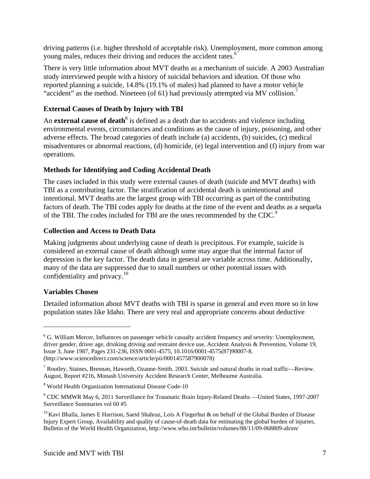driving patterns (i.e. higher threshold of acceptable risk). Unemployment, more common among young males, reduces their driving and reduces the accident rates.<sup>6</sup>

There is very little information about MVT deaths as a mechanism of suicide. A 2003 Australian study interviewed people with a history of suicidal behaviors and ideation. Of those who reported planning a suicide, 14.8% (19.1% of males) had planned to have a motor vehicle "accident" as the method. Nineteen (of 61) had previously attempted via MV collision.<sup>7</sup>

#### **External Causes of Death by Injury with TBI**

An **external cause of death<sup>8</sup>** is defined as a death due to accidents and violence including environmental events, circumstances and conditions as the cause of injury, poisoning, and other adverse effects. The broad categories of death include (a) accidents, (b) suicides, (c) medical misadventures or abnormal reactions, (d) homicide, (e) legal intervention and (f) injury from war operations.

#### **Methods for Identifying and Coding Accidental Death**

The cases included in this study were external causes of death (suicide and MVT deaths) with TBI as a contributing factor. The stratification of accidental death is unintentional and intentional. MVT deaths are the largest group with TBI occurring as part of the contributing factors of death. The TBI codes apply for deaths at the time of the event and deaths as a sequela of the TBI. The codes included for TBI are the ones recommended by the CDC.<sup>9</sup>

#### **Collection and Access to Death Data**

Making judgments about underlying cause of death is precipitous. For example, suicide is considered an external cause of death although some may argue that the internal factor of depression is the key factor. The death data in general are variable across time. Additionally, many of the data are suppressed due to small numbers or other potential issues with confidentiality and privacy. $10$ 

#### **Variables Chosen**

 $\overline{a}$ 

Detailed information about MVT deaths with TBI is sparse in general and even more so in low population states like Idaho. There are very real and appropriate concerns about deductive

<sup>&</sup>lt;sup>6</sup> G. William Mercer, Influences on passenger vehicle casualty accident frequency and severity: Unemployment, driver gender, driver age, drinking driving and restraint device use, Accident Analysis & Prevention, Volume 19, Issue 3, June 1987, Pages 231-236, ISSN 0001-4575, 10.1016/0001-4575(87)90007-8. (http://www.sciencedirect.com/science/article/pii/0001457587900078)

<sup>&</sup>lt;sup>7</sup> Routley, Staines, Brennan, Haworth, Ozanne-Smith. 2003. Suicide and natural deaths in road traffic—Review. August, Report #216, Monash University Accident Research Center, Melbourne Australia.

<sup>&</sup>lt;sup>8</sup> World Health Organization International Disease Code-10

<sup>&</sup>lt;sup>9</sup> CDC MMWR May 6, 2011 Surveillance for Traumatic Brain Injury-Related Deaths —United States, 1997-2007 Surveillance Summaries vol 60 #5

<sup>&</sup>lt;sup>10</sup> Kavi Bhalla, James E Harrison, Saeid Shahraz, Lois A Fingerhut & on behalf of the Global Burden of Disease Injury Expert Group, Availability and quality of cause-of-death data for estimating the global burden of injuries, Bulletin of the World Health Organization, http://www.who.int/bulletin/volumes/88/11/09-068809-ab/en/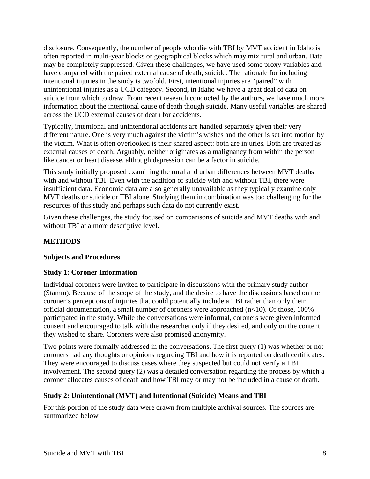disclosure. Consequently, the number of people who die with TBI by MVT accident in Idaho is often reported in multi-year blocks or geographical blocks which may mix rural and urban. Data may be completely suppressed. Given these challenges, we have used some proxy variables and have compared with the paired external cause of death, suicide. The rationale for including intentional injuries in the study is twofold. First, intentional injuries are "paired" with unintentional injuries as a UCD category. Second, in Idaho we have a great deal of data on suicide from which to draw. From recent research conducted by the authors, we have much more information about the intentional cause of death though suicide. Many useful variables are shared across the UCD external causes of death for accidents.

Typically, intentional and unintentional accidents are handled separately given their very different nature. One is very much against the victim's wishes and the other is set into motion by the victim. What is often overlooked is their shared aspect: both are injuries. Both are treated as external causes of death. Arguably, neither originates as a malignancy from within the person like cancer or heart disease, although depression can be a factor in suicide.

This study initially proposed examining the rural and urban differences between MVT deaths with and without TBI. Even with the addition of suicide with and without TBI, there were insufficient data. Economic data are also generally unavailable as they typically examine only MVT deaths or suicide or TBI alone. Studying them in combination was too challenging for the resources of this study and perhaps such data do not currently exist.

Given these challenges, the study focused on comparisons of suicide and MVT deaths with and without TBI at a more descriptive level.

#### **METHODS**

#### **Subjects and Procedures**

#### **Study 1: Coroner Information**

Individual coroners were invited to participate in discussions with the primary study author (Stamm). Because of the scope of the study, and the desire to have the discussions based on the coroner's perceptions of injuries that could potentially include a TBI rather than only their official documentation, a small number of coroners were approached (n<10). Of those, 100% participated in the study. While the conversations were informal, coroners were given informed consent and encouraged to talk with the researcher only if they desired, and only on the content they wished to share. Coroners were also promised anonymity.

Two points were formally addressed in the conversations. The first query (1) was whether or not coroners had any thoughts or opinions regarding TBI and how it is reported on death certificates. They were encouraged to discuss cases where they suspected but could not verify a TBI involvement. The second query (2) was a detailed conversation regarding the process by which a coroner allocates causes of death and how TBI may or may not be included in a cause of death.

#### **Study 2: Unintentional (MVT) and Intentional (Suicide) Means and TBI**

For this portion of the study data were drawn from multiple archival sources. The sources are summarized below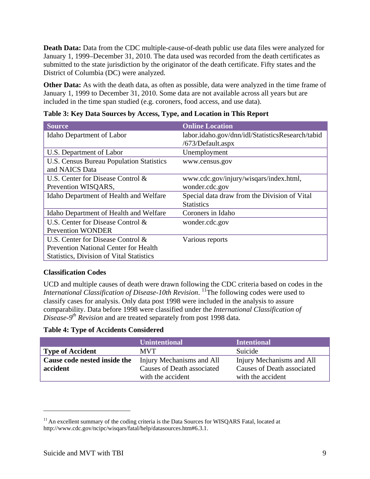**Death Data:** Data from the CDC multiple-cause-of-death public use data files were analyzed for January 1, 1999–December 31, 2010. The data used was recorded from the death certificates as submitted to the state jurisdiction by the originator of the death certificate. Fifty states and the District of Columbia (DC) were analyzed.

**Other Data:** As with the death data, as often as possible, data were analyzed in the time frame of January 1, 1999 to December 31, 2010. Some data are not available across all years but are included in the time span studied (e.g. coroners, food access, and use data).

| <b>Source</b>                                   | <b>Online Location</b>                           |
|-------------------------------------------------|--------------------------------------------------|
| Idaho Department of Labor                       | labor.idaho.gov/dnn/idl/StatisticsResearch/tabid |
|                                                 | /673/Default.aspx                                |
| U.S. Department of Labor                        | Unemployment                                     |
| U.S. Census Bureau Population Statistics        | www.census.gov                                   |
| and NAICS Data                                  |                                                  |
| U.S. Center for Disease Control &               | www.cdc.gov/injury/wisqars/index.html,           |
| Prevention WISQARS,                             | wonder.cdc.gov                                   |
| Idaho Department of Health and Welfare          | Special data draw from the Division of Vital     |
|                                                 | <b>Statistics</b>                                |
| Idaho Department of Health and Welfare          | Coroners in Idaho                                |
| U.S. Center for Disease Control &               | wonder.cdc.gov                                   |
| <b>Prevention WONDER</b>                        |                                                  |
| U.S. Center for Disease Control &               | Various reports                                  |
| <b>Prevention National Center for Health</b>    |                                                  |
| <b>Statistics, Division of Vital Statistics</b> |                                                  |

**Table 3: Key Data Sources by Access, Type, and Location in This Report** 

#### **Classification Codes**

UCD and multiple causes of death were drawn following the CDC criteria based on codes in the *International Classification of Disease-10th Revision*. <sup>11</sup>The following codes were used to classify cases for analysis. Only data post 1998 were included in the analysis to assure comparability. Data before 1998 were classified under the *International Classification of Disease-9th Revision* and are treated separately from post 1998 data.

**Table 4: Type of Accidents Considered** 

|                              | <b>Unintentional</b>       | <b>Intentional</b>         |
|------------------------------|----------------------------|----------------------------|
| <b>Type of Accident</b>      | <b>MVT</b>                 | Suicide                    |
| Cause code nested inside the | Injury Mechanisms and All  | Injury Mechanisms and All  |
| accident                     | Causes of Death associated | Causes of Death associated |
|                              | with the accident          | with the accident          |

 $\overline{a}$ 

 $11$  An excellent summary of the coding criteria is the Data Sources for WISQARS Fatal, located at http://www.cdc.gov/ncipc/wisqars/fatal/help/datasources.htm#6.3.1.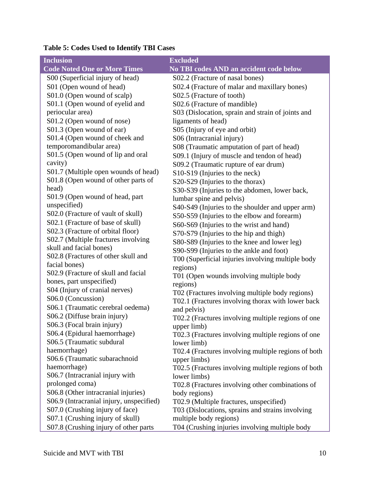| <b>Inclusion</b>                              | <b>Excluded</b>                                                                             |
|-----------------------------------------------|---------------------------------------------------------------------------------------------|
| <b>Code Noted One or More Times</b>           | No TBI codes AND an accident code below                                                     |
| S00 (Superficial injury of head)              | S02.2 (Fracture of nasal bones)                                                             |
| S01 (Open wound of head)                      | S02.4 (Fracture of malar and maxillary bones)                                               |
| S01.0 (Open wound of scalp)                   | S02.5 (Fracture of tooth)                                                                   |
| S01.1 (Open wound of eyelid and               | S02.6 (Fracture of mandible)                                                                |
| periocular area)                              | S03 (Dislocation, sprain and strain of joints and                                           |
| S01.2 (Open wound of nose)                    | ligaments of head)                                                                          |
| S01.3 (Open wound of ear)                     | S05 (Injury of eye and orbit)                                                               |
| S01.4 (Open wound of cheek and                | S06 (Intracranial injury)                                                                   |
| temporomandibular area)                       | S08 (Traumatic amputation of part of head)                                                  |
| S01.5 (Open wound of lip and oral             | S09.1 (Injury of muscle and tendon of head)                                                 |
| cavity)                                       | S09.2 (Traumatic rupture of ear drum)                                                       |
| S01.7 (Multiple open wounds of head)          | S10-S19 (Injuries to the neck)                                                              |
| S01.8 (Open wound of other parts of           | S20-S29 (Injuries to the thorax)                                                            |
| head)                                         | S30-S39 (Injuries to the abdomen, lower back,                                               |
| S01.9 (Open wound of head, part               | lumbar spine and pelvis)                                                                    |
| unspecified)                                  | S40-S49 (Injuries to the shoulder and upper arm)                                            |
| S02.0 (Fracture of vault of skull)            | S50-S59 (Injuries to the elbow and forearm)                                                 |
| S02.1 (Fracture of base of skull)             | S60-S69 (Injuries to the wrist and hand)                                                    |
| S02.3 (Fracture of orbital floor)             | S70-S79 (Injuries to the hip and thigh)                                                     |
| S02.7 (Multiple fractures involving           | S80-S89 (Injuries to the knee and lower leg)                                                |
| skull and facial bones)                       | S90-S99 (Injuries to the ankle and foot)                                                    |
| S02.8 (Fractures of other skull and           | T00 (Superficial injuries involving multiple body                                           |
| facial bones)                                 | regions)                                                                                    |
| S02.9 (Fracture of skull and facial           | T01 (Open wounds involving multiple body                                                    |
| bones, part unspecified)                      | regions)                                                                                    |
| S04 (Injury of cranial nerves)                | T02 (Fractures involving multiple body regions)                                             |
| S06.0 (Concussion)                            | T02.1 (Fractures involving thorax with lower back                                           |
| S06.1 (Traumatic cerebral oedema)             | and pelvis)                                                                                 |
| S06.2 (Diffuse brain injury)                  | T02.2 (Fractures involving multiple regions of one                                          |
| S06.3 (Focal brain injury)                    | upper limb)                                                                                 |
| S06.4 (Epidural haemorrhage)                  | T02.3 (Fractures involving multiple regions of one                                          |
| S06.5 (Traumatic subdural                     | lower limb)                                                                                 |
| haemorrhage)<br>S06.6 (Traumatic subarachnoid | T02.4 (Fractures involving multiple regions of both                                         |
| haemorrhage)                                  | upper limbs)                                                                                |
| S06.7 (Intracranial injury with               | T02.5 (Fractures involving multiple regions of both                                         |
| prolonged coma)                               | lower limbs)                                                                                |
| S06.8 (Other intracranial injuries)           | T02.8 (Fractures involving other combinations of                                            |
| S06.9 (Intracranial injury, unspecified)      | body regions)                                                                               |
| S07.0 (Crushing injury of face)               | T02.9 (Multiple fractures, unspecified)<br>T03 (Dislocations, sprains and strains involving |
| S07.1 (Crushing injury of skull)              | multiple body regions)                                                                      |
| S07.8 (Crushing injury of other parts         | T04 (Crushing injuries involving multiple body                                              |

## **Table 5: Codes Used to Identify TBI Cases**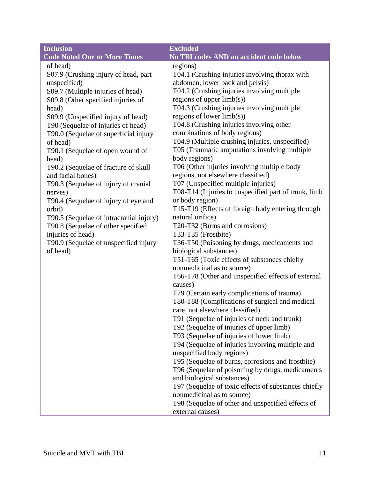| <b>Inclusion</b>                        | <b>Excluded</b>                                                                    |
|-----------------------------------------|------------------------------------------------------------------------------------|
| <b>Code Noted One or More Times</b>     | No TBI codes AND an accident code below                                            |
| of head)                                | regions)                                                                           |
| S07.9 (Crushing injury of head, part    | T04.1 (Crushing injuries involving thorax with                                     |
| unspecified)                            | abdomen, lower back and pelvis)                                                    |
| S09.7 (Multiple injuries of head)       | T04.2 (Crushing injuries involving multiple                                        |
| S09.8 (Other specified injuries of      | regions of upper $limb(s)$ )                                                       |
| head)                                   | T04.3 (Crushing injuries involving multiple                                        |
| S09.9 (Unspecified injury of head)      | regions of lower limb(s))                                                          |
| T90 (Sequelae of injuries of head)      | T04.8 (Crushing injuries involving other                                           |
| T90.0 (Sequelae of superficial injury   | combinations of body regions)                                                      |
| of head)                                | T04.9 (Multiple crushing injuries, unspecified)                                    |
| T90.1 (Sequelae of open wound of        | T05 (Traumatic amputations involving multiple                                      |
| head)                                   | body regions)                                                                      |
| T90.2 (Sequelae of fracture of skull    | T06 (Other injuries involving multiple body                                        |
| and facial bones)                       | regions, not elsewhere classified)                                                 |
| T90.3 (Sequelae of injury of cranial    | T07 (Unspecified multiple injuries)                                                |
| nerves)                                 | T08-T14 (Injuries to unspecified part of trunk, limb                               |
| T90.4 (Sequelae of injury of eye and    | or body region)                                                                    |
| orbit)                                  | T15-T19 (Effects of foreign body entering through                                  |
| T90.5 (Sequelae of intracranial injury) | natural orifice)                                                                   |
| T90.8 (Sequelae of other specified      | T20-T32 (Burns and corrosions)                                                     |
| injuries of head)                       | T33-T35 (Frostbite)                                                                |
| T90.9 (Sequelae of unspecified injury   | T36-T50 (Poisoning by drugs, medicaments and                                       |
| of head)                                | biological substances)                                                             |
|                                         | T51-T65 (Toxic effects of substances chiefly                                       |
|                                         | nonmedicinal as to source)                                                         |
|                                         | T66-T78 (Other and unspecified effects of external                                 |
|                                         | causes)                                                                            |
|                                         | T79 (Certain early complications of trauma)                                        |
|                                         | T80-T88 (Complications of surgical and medical                                     |
|                                         | care, not elsewhere classified)                                                    |
|                                         | T91 (Sequelae of injuries of neck and trunk)                                       |
|                                         | T92 (Sequelae of injuries of upper limb)                                           |
|                                         | T93 (Sequelae of injuries of lower limb)                                           |
|                                         | T94 (Sequelae of injuries involving multiple and                                   |
|                                         | unspecified body regions)                                                          |
|                                         | T95 (Sequelae of burns, corrosions and frostbite)                                  |
|                                         | T96 (Sequelae of poisoning by drugs, medicaments                                   |
|                                         | and biological substances)                                                         |
|                                         | T97 (Sequelae of toxic effects of substances chiefly<br>nonmedicinal as to source) |
|                                         | T98 (Sequelae of other and unspecified effects of                                  |
|                                         |                                                                                    |
|                                         | external causes)                                                                   |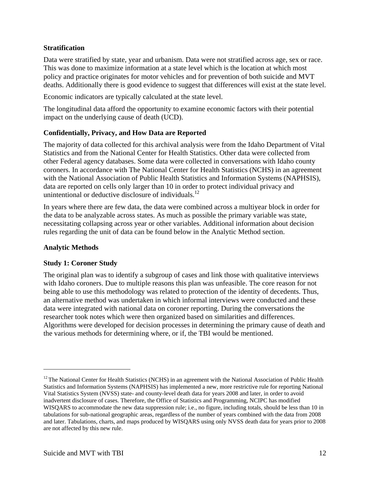#### **Stratification**

Data were stratified by state, year and urbanism. Data were not stratified across age, sex or race. This was done to maximize information at a state level which is the location at which most policy and practice originates for motor vehicles and for prevention of both suicide and MVT deaths. Additionally there is good evidence to suggest that differences will exist at the state level.

Economic indicators are typically calculated at the state level.

The longitudinal data afford the opportunity to examine economic factors with their potential impact on the underlying cause of death (UCD).

#### **Confidentially, Privacy, and How Data are Reported**

The majority of data collected for this archival analysis were from the Idaho Department of Vital Statistics and from the National Center for Health Statistics. Other data were collected from other Federal agency databases. Some data were collected in conversations with Idaho county coroners. In accordance with The National Center for Health Statistics (NCHS) in an agreement with the National Association of Public Health Statistics and Information Systems (NAPHSIS), data are reported on cells only larger than 10 in order to protect individual privacy and unintentional or deductive disclosure of individuals. $^{12}$ 

In years where there are few data, the data were combined across a multiyear block in order for the data to be analyzable across states. As much as possible the primary variable was state, necessitating collapsing across year or other variables. Additional information about decision rules regarding the unit of data can be found below in the Analytic Method section.

#### **Analytic Methods**

 $\overline{a}$ 

#### **Study 1: Coroner Study**

The original plan was to identify a subgroup of cases and link those with qualitative interviews with Idaho coroners. Due to multiple reasons this plan was unfeasible. The core reason for not being able to use this methodology was related to protection of the identity of decedents. Thus, an alternative method was undertaken in which informal interviews were conducted and these data were integrated with national data on coroner reporting. During the conversations the researcher took notes which were then organized based on similarities and differences. Algorithms were developed for decision processes in determining the primary cause of death and the various methods for determining where, or if, the TBI would be mentioned.

<sup>&</sup>lt;sup>12</sup> The National Center for Health Statistics (NCHS) in an agreement with the National Association of Public Health Statistics and Information Systems (NAPHSIS) has implemented a new, more restrictive rule for reporting National Vital Statistics System (NVSS) state- and county-level death data for years 2008 and later, in order to avoid inadvertent disclosure of cases. Therefore, the Office of Statistics and Programming, NCIPC has modified WISQARS to accommodate the new data suppression rule; i.e., no figure, including totals, should be less than 10 in tabulations for sub-national geographic areas, regardless of the number of years combined with the data from 2008 and later. Tabulations, charts, and maps produced by WISQARS using only NVSS death data for years prior to 2008 are not affected by this new rule.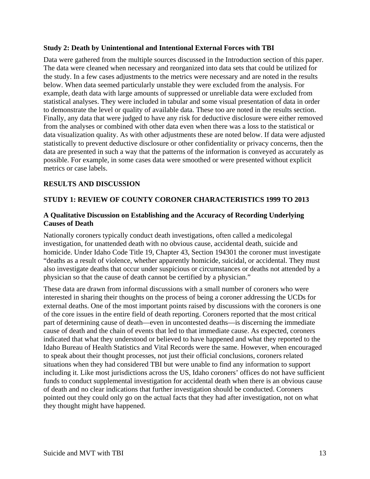#### **Study 2: Death by Unintentional and Intentional External Forces with TBI**

Data were gathered from the multiple sources discussed in the Introduction section of this paper. The data were cleaned when necessary and reorganized into data sets that could be utilized for the study. In a few cases adjustments to the metrics were necessary and are noted in the results below. When data seemed particularly unstable they were excluded from the analysis. For example, death data with large amounts of suppressed or unreliable data were excluded from statistical analyses. They were included in tabular and some visual presentation of data in order to demonstrate the level or quality of available data. These too are noted in the results section. Finally, any data that were judged to have any risk for deductive disclosure were either removed from the analyses or combined with other data even when there was a loss to the statistical or data visualization quality. As with other adjustments these are noted below. If data were adjusted statistically to prevent deductive disclosure or other confidentiality or privacy concerns, then the data are presented in such a way that the patterns of the information is conveyed as accurately as possible. For example, in some cases data were smoothed or were presented without explicit metrics or case labels.

#### **RESULTS AND DISCUSSION**

#### **STUDY 1: REVIEW OF COUNTY CORONER CHARACTERISTICS 1999 TO 2013**

#### **A Qualitative Discussion on Establishing and the Accuracy of Recording Underlying Causes of Death**

Nationally coroners typically conduct death investigations, often called a medicolegal investigation, for unattended death with no obvious cause, accidental death, suicide and homicide. Under Idaho Code Title 19, Chapter 43, Section 194301 the coroner must investigate "deaths as a result of violence, whether apparently homicide, suicidal, or accidental. They must also investigate deaths that occur under suspicious or circumstances or deaths not attended by a physician so that the cause of death cannot be certified by a physician."

These data are drawn from informal discussions with a small number of coroners who were interested in sharing their thoughts on the process of being a coroner addressing the UCDs for external deaths. One of the most important points raised by discussions with the coroners is one of the core issues in the entire field of death reporting. Coroners reported that the most critical part of determining cause of death—even in uncontested deaths—is discerning the immediate cause of death and the chain of events that led to that immediate cause. As expected, coroners indicated that what they understood or believed to have happened and what they reported to the Idaho Bureau of Health Statistics and Vital Records were the same. However, when encouraged to speak about their thought processes, not just their official conclusions, coroners related situations when they had considered TBI but were unable to find any information to support including it. Like most jurisdictions across the US, Idaho coroners' offices do not have sufficient funds to conduct supplemental investigation for accidental death when there is an obvious cause of death and no clear indications that further investigation should be conducted. Coroners pointed out they could only go on the actual facts that they had after investigation, not on what they thought might have happened.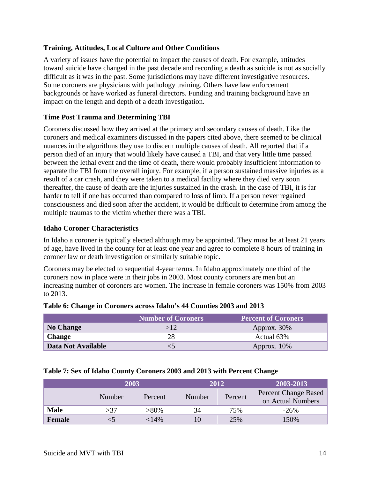#### **Training, Attitudes, Local Culture and Other Conditions**

A variety of issues have the potential to impact the causes of death. For example, attitudes toward suicide have changed in the past decade and recording a death as suicide is not as socially difficult as it was in the past. Some jurisdictions may have different investigative resources. Some coroners are physicians with pathology training. Others have law enforcement backgrounds or have worked as funeral directors. Funding and training background have an impact on the length and depth of a death investigation.

#### **Time Post Trauma and Determining TBI**

Coroners discussed how they arrived at the primary and secondary causes of death. Like the coroners and medical examiners discussed in the papers cited above, there seemed to be clinical nuances in the algorithms they use to discern multiple causes of death. All reported that if a person died of an injury that would likely have caused a TBI, and that very little time passed between the lethal event and the time of death, there would probably insufficient information to separate the TBI from the overall injury. For example, if a person sustained massive injuries as a result of a car crash, and they were taken to a medical facility where they died very soon thereafter, the cause of death are the injuries sustained in the crash. In the case of TBI, it is far harder to tell if one has occurred than compared to loss of limb. If a person never regained consciousness and died soon after the accident, it would be difficult to determine from among the multiple traumas to the victim whether there was a TBI.

#### **Idaho Coroner Characteristics**

In Idaho a coroner is typically elected although may be appointed. They must be at least 21 years of age, have lived in the county for at least one year and agree to complete 8 hours of training in coroner law or death investigation or similarly suitable topic.

Coroners may be elected to sequential 4-year terms. In Idaho approximately one third of the coroners now in place were in their jobs in 2003. Most county coroners are men but an increasing number of coroners are women. The increase in female coroners was 150% from 2003 to 2013.

|                    | <b>Number of Coroners</b> | <b>Percent of Coroners</b> |
|--------------------|---------------------------|----------------------------|
| <b>No Change</b>   |                           | Approx. 30%                |
| <b>Change</b>      | 28                        | Actual 63%                 |
| Data Not Available |                           | Approx. $10\%$             |

|  |  | Table 6: Change in Coroners across Idaho's 44 Counties 2003 and 2013 |
|--|--|----------------------------------------------------------------------|
|  |  |                                                                      |

| Table 7: Sex of Idaho County Coroners 2003 and 2013 with Percent Change |  |  |  |
|-------------------------------------------------------------------------|--|--|--|
|-------------------------------------------------------------------------|--|--|--|

|             | 2003   |         |        | 2012    | 2003-2013                                 |
|-------------|--------|---------|--------|---------|-------------------------------------------|
|             | Number | Percent | Number | Percent | Percent Change Based<br>on Actual Numbers |
| <b>Male</b> | >37    | $>80\%$ | 34     | 75%     | $-26\%$                                   |
| Female      |        | 14%>    |        | 25%     | 150%                                      |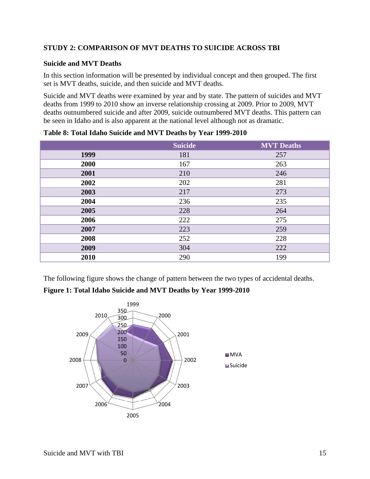#### **STUDY 2: COMPARISON OF MVT DEATHS TO SUICIDE ACROSS TBI**

#### **Suicide and MVT Deaths**

In this section information will be presented by individual concept and then grouped. The first set is MVT deaths, suicide, and then suicide and MVT deaths.

Suicide and MVT deaths were examined by year and by state. The pattern of suicides and MVT deaths from 1999 to 2010 show an inverse relationship crossing at 2009. Prior to 2009, MVT deaths outnumbered suicide and after 2009, suicide outnumbered MVT deaths. This pattern can be seen in Idaho and is also apparent at the national level although not as dramatic.

|      | <b>Suicide</b> | <b>MVT</b> Deaths |
|------|----------------|-------------------|
| 1999 | 181            | 257               |
| 2000 | 167            | 263               |
| 2001 | 210            | 246               |
| 2002 | 202            | 281               |
| 2003 | 217            | 273               |
| 2004 | 236            | 235               |
| 2005 | 228            | 264               |
| 2006 | 222            | 275               |
| 2007 | 223            | 259               |
| 2008 | 252            | 228               |
| 2009 | 304            | 222               |
| 2010 | 290            | 199               |

**Table 8: Total Idaho Suicide and MVT Deaths by Year 1999-2010** 

The following figure shows the change of pattern between the two types of accidental deaths.

#### **Figure 1: Total Idaho Suicide and MVT Deaths by Year 1999-2010**

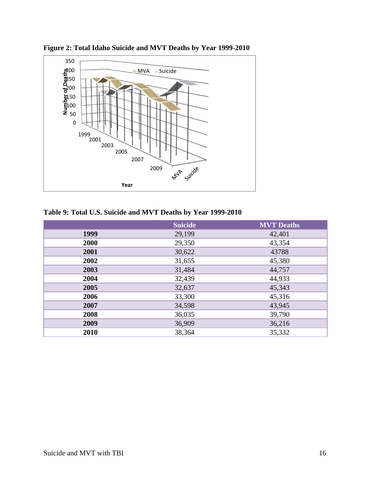

**Figure 2: Total Idaho Suicide and MVT Deaths by Year 1999-2010** 

## **Table 9: Total U.S. Suicide and MVT Deaths by Year 1999-2010**

|      | <b>Suicide</b> | <b>MVT</b> Deaths |
|------|----------------|-------------------|
| 1999 | 29,199         | 42,401            |
| 2000 | 29,350         | 43,354            |
| 2001 | 30,622         | 43788             |
| 2002 | 31,655         | 45,380            |
| 2003 | 31,484         | 44,757            |
| 2004 | 32,439         | 44,933            |
| 2005 | 32,637         | 45,343            |
| 2006 | 33,300         | 45,316            |
| 2007 | 34,598         | 43,945            |
| 2008 | 36,035         | 39,790            |
| 2009 | 36,909         | 36,216            |
| 2010 | 38,364         | 35,332            |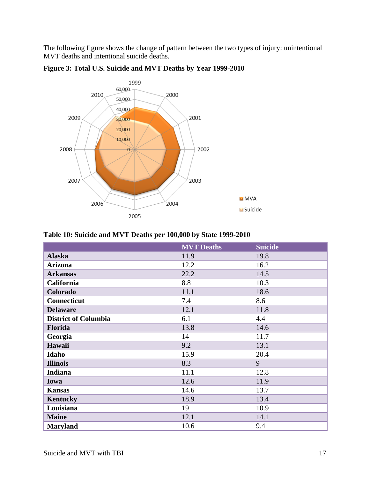The following figure shows the change of pattern between the two types of injury: unintentional MVT deaths and intentional suicide deaths.



**Figure 3: Total U.S. Suicide and MVT Deaths by Year 1999-2010** 

| Table 10: Suicide and MVT Deaths per 100,000 by State 1999-2010 |  |
|-----------------------------------------------------------------|--|
|-----------------------------------------------------------------|--|

|                             | <b>MVT</b> Deaths | <b>Suicide</b> |
|-----------------------------|-------------------|----------------|
| <b>Alaska</b>               | 11.9              | 19.8           |
| <b>Arizona</b>              | 12.2              | 16.2           |
| <b>Arkansas</b>             | 22.2              | 14.5           |
| California                  | 8.8               | 10.3           |
| Colorado                    | 11.1              | 18.6           |
| <b>Connecticut</b>          | 7.4               | 8.6            |
| <b>Delaware</b>             | 12.1              | 11.8           |
| <b>District of Columbia</b> | 6.1               | 4.4            |
| Florida                     | 13.8              | 14.6           |
| Georgia                     | 14                | 11.7           |
| Hawaii                      | 9.2               | 13.1           |
| Idaho                       | 15.9              | 20.4           |
| <b>Illinois</b>             | 8.3               | 9              |
| <b>Indiana</b>              | 11.1              | 12.8           |
| Iowa                        | 12.6              | 11.9           |
| <b>Kansas</b>               | 14.6              | 13.7           |
| Kentucky                    | 18.9              | 13.4           |
| Louisiana                   | 19                | 10.9           |
| <b>Maine</b>                | 12.1              | 14.1           |
| <b>Maryland</b>             | 10.6              | 9.4            |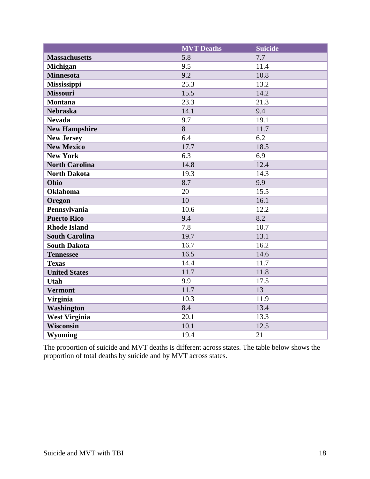|                       | <b>MVT</b> Deaths | <b>Suicide</b> |
|-----------------------|-------------------|----------------|
| <b>Massachusetts</b>  | 5.8               | 7.7            |
| Michigan              | 9.5               | 11.4           |
| <b>Minnesota</b>      | 9.2               | 10.8           |
| Mississippi           | 25.3              | 13.2           |
| <b>Missouri</b>       | 15.5              | 14.2           |
| <b>Montana</b>        | 23.3              | 21.3           |
| <b>Nebraska</b>       | 14.1              | 9.4            |
| <b>Nevada</b>         | 9.7               | 19.1           |
| <b>New Hampshire</b>  | 8                 | 11.7           |
| <b>New Jersey</b>     | 6.4               | 6.2            |
| <b>New Mexico</b>     | 17.7              | 18.5           |
| <b>New York</b>       | 6.3               | 6.9            |
| <b>North Carolina</b> | 14.8              | 12.4           |
| <b>North Dakota</b>   | 19.3              | 14.3           |
| Ohio                  | 8.7               | 9.9            |
| <b>Oklahoma</b>       | 20                | 15.5           |
| Oregon                | 10                | 16.1           |
| Pennsylvania          | 10.6              | 12.2           |
| <b>Puerto Rico</b>    | 9.4               | 8.2            |
| <b>Rhode Island</b>   | 7.8               | 10.7           |
| <b>South Carolina</b> | 19.7              | 13.1           |
| <b>South Dakota</b>   | 16.7              | 16.2           |
| <b>Tennessee</b>      | 16.5              | 14.6           |
| <b>Texas</b>          | 14.4              | 11.7           |
| <b>United States</b>  | 11.7              | 11.8           |
| Utah                  | 9.9               | 17.5           |
| <b>Vermont</b>        | 11.7              | 13             |
| <b>Virginia</b>       | 10.3              | 11.9           |
| Washington            | 8.4               | 13.4           |
| <b>West Virginia</b>  | 20.1              | 13.3           |
| <b>Wisconsin</b>      | 10.1              | 12.5           |
| <b>Wyoming</b>        | 19.4              | 21             |

The proportion of suicide and MVT deaths is different across states. The table below shows the proportion of total deaths by suicide and by MVT across states.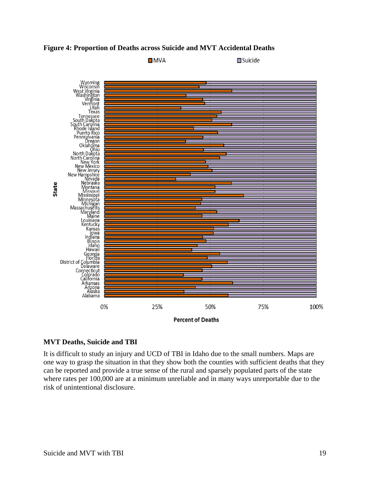



#### **MVT Deaths, Suicide and TBI**

It is difficult to study an injury and UCD of TBI in Idaho due to the small numbers. Maps are one way to grasp the situation in that they show both the counties with sufficient deaths that they can be reported and provide a true sense of the rural and sparsely populated parts of the state where rates per 100,000 are at a minimum unreliable and in many ways unreportable due to the risk of unintentional disclosure.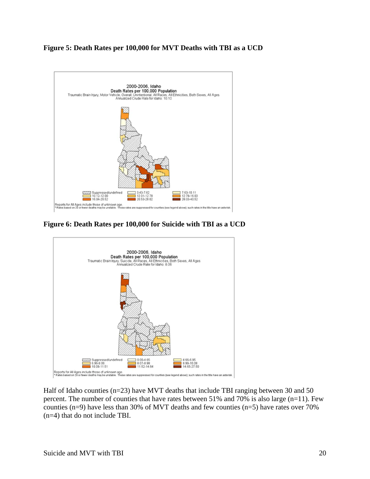#### **Figure 5: Death Rates per 100,000 for MVT Deaths with TBI as a UCD**



**Figure 6: Death Rates per 100,000 for Suicide with TBI as a UCD** 



Half of Idaho counties (n=23) have MVT deaths that include TBI ranging between 30 and 50 percent. The number of counties that have rates between 51% and 70% is also large (n=11). Few counties (n=9) have less than 30% of MVT deaths and few counties (n=5) have rates over 70% (n=4) that do not include TBI.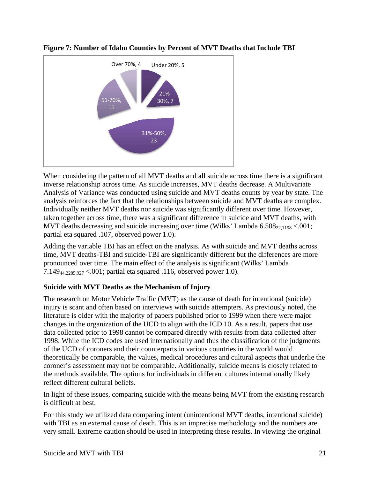



When considering the pattern of all MVT deaths and all suicide across time there is a significant inverse relationship across time. As suicide increases, MVT deaths decrease. A Multivariate Analysis of Variance was conducted using suicide and MVT deaths counts by year by state. The analysis reinforces the fact that the relationships between suicide and MVT deaths are complex. Individually neither MVT deaths nor suicide was significantly different over time. However, taken together across time, there was a significant difference in suicide and MVT deaths, with MVT deaths decreasing and suicide increasing over time (Wilks' Lambda  $6.508_{22,1198} < .001$ ; partial eta squared .107, observed power 1.0).

Adding the variable TBI has an effect on the analysis. As with suicide and MVT deaths across time, MVT deaths-TBI and suicide-TBI are significantly different but the differences are more pronounced over time. The main effect of the analysis is significant (Wilks' Lambda 7.14944,2285.927 <.001; partial eta squared .116, observed power 1.0).

#### **Suicide with MVT Deaths as the Mechanism of Injury**

The research on Motor Vehicle Traffic (MVT) as the cause of death for intentional (suicide) injury is scant and often based on interviews with suicide attempters. As previously noted, the literature is older with the majority of papers published prior to 1999 when there were major changes in the organization of the UCD to align with the ICD 10. As a result, papers that use data collected prior to 1998 cannot be compared directly with results from data collected after 1998. While the ICD codes are used internationally and thus the classification of the judgments of the UCD of coroners and their counterparts in various countries in the world would theoretically be comparable, the values, medical procedures and cultural aspects that underlie the coroner's assessment may not be comparable. Additionally, suicide means is closely related to the methods available. The options for individuals in different cultures internationally likely reflect different cultural beliefs.

In light of these issues, comparing suicide with the means being MVT from the existing research is difficult at best.

For this study we utilized data comparing intent (unintentional MVT deaths, intentional suicide) with TBI as an external cause of death. This is an imprecise methodology and the numbers are very small. Extreme caution should be used in interpreting these results. In viewing the original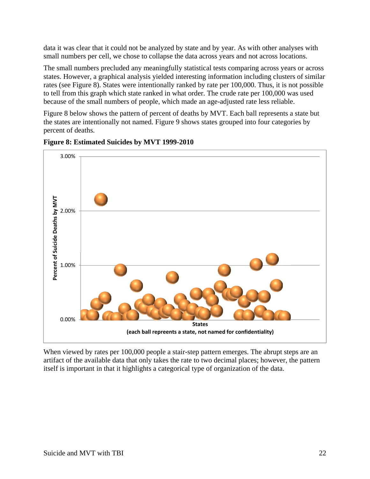data it was clear that it could not be analyzed by state and by year. As with other analyses with small numbers per cell, we chose to collapse the data across years and not across locations.

The small numbers precluded any meaningfully statistical tests comparing across years or across states. However, a graphical analysis yielded interesting information including clusters of similar rates (see Figure 8). States were intentionally ranked by rate per 100,000. Thus, it is not possible to tell from this graph which state ranked in what order. The crude rate per 100,000 was used because of the small numbers of people, which made an age-adjusted rate less reliable.

Figure 8 below shows the pattern of percent of deaths by MVT. Each ball represents a state but the states are intentionally not named. Figure 9 shows states grouped into four categories by percent of deaths.



**Figure 8: Estimated Suicides by MVT 1999-2010** 

When viewed by rates per 100,000 people a stair-step pattern emerges. The abrupt steps are an artifact of the available data that only takes the rate to two decimal places; however, the pattern itself is important in that it highlights a categorical type of organization of the data.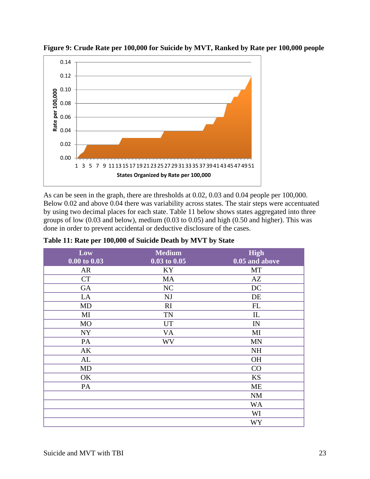

**Figure 9: Crude Rate per 100,000 for Suicide by MVT, Ranked by Rate per 100,000 people** 

As can be seen in the graph, there are thresholds at 0.02, 0.03 and 0.04 people per 100,000. Below 0.02 and above 0.04 there was variability across states. The stair steps were accentuated by using two decimal places for each state. Table 11 below shows states aggregated into three groups of low (0.03 and below), medium (0.03 to 0.05) and high (0.50 and higher). This was done in order to prevent accidental or deductive disclosure of the cases.

| Low<br>$0.00 \text{ to } 0.03$ | <b>Medium</b><br>$0.03$ to $0.05$ | <b>High</b><br>$0.05$ and above |
|--------------------------------|-----------------------------------|---------------------------------|
| AR                             | KY                                | MT                              |
| <b>CT</b>                      | MA                                | AZ                              |
| GA                             | NC                                | DC                              |
| LA                             | <b>NJ</b>                         | DE                              |
| MD                             | RI                                | FL                              |
| MI                             | <b>TN</b>                         | $\mathop{\rm IL}\nolimits$      |
| <b>MO</b>                      | <b>UT</b>                         | IN                              |
| <b>NY</b>                      | <b>VA</b>                         | MI                              |
| PA                             | <b>WV</b>                         | <b>MN</b>                       |
| AK                             |                                   | <b>NH</b>                       |
| AL                             |                                   | <b>OH</b>                       |
| <b>MD</b>                      |                                   | CO                              |
| OK                             |                                   | <b>KS</b>                       |
| PA                             |                                   | <b>ME</b>                       |
|                                |                                   | <b>NM</b>                       |
|                                |                                   | <b>WA</b>                       |
|                                |                                   | WI                              |
|                                |                                   | <b>WY</b>                       |

| Table 11: Rate per 100,000 of Suicide Death by MVT by State |
|-------------------------------------------------------------|
|-------------------------------------------------------------|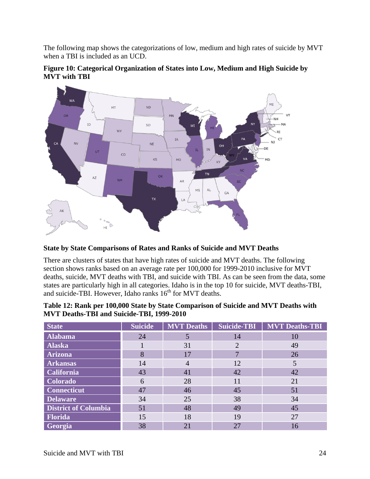The following map shows the categorizations of low, medium and high rates of suicide by MVT when a TBI is included as an UCD.





#### **State by State Comparisons of Rates and Ranks of Suicide and MVT Deaths**

There are clusters of states that have high rates of suicide and MVT deaths. The following section shows ranks based on an average rate per 100,000 for 1999-2010 inclusive for MVT deaths, suicide, MVT deaths with TBI, and suicide with TBI. As can be seen from the data, some states are particularly high in all categories. Idaho is in the top 10 for suicide, MVT deaths-TBI, and suicide-TBI. However, Idaho ranks  $16<sup>th</sup>$  for MVT deaths.

| Table 12: Rank per 100,000 State by State Comparison of Suicide and MVT Deaths with |
|-------------------------------------------------------------------------------------|
| <b>MVT Deaths-TBI and Suicide-TBI, 1999-2010</b>                                    |

| <b>State</b>                | <b>Suicide</b> | <b>MVT Deaths</b> | Suicide-TBI | <b>MVT Deaths-TBI</b> |
|-----------------------------|----------------|-------------------|-------------|-----------------------|
| <b>Alabama</b>              | 24             | 5                 | 14          | 10                    |
| Alaska                      |                | 31                | 2           | 49                    |
| <b>Arizona</b>              | 8              | 17                |             | 26                    |
| <b>Arkansas</b>             | 14             | $\overline{4}$    | 12          |                       |
| <b>California</b>           | 43             | 41                | 42          | 42                    |
| <b>Colorado</b>             | 6              | 28                | 11          | 21                    |
| <b>Connecticut</b>          | 47             | 46                | 45          | 51                    |
| <b>Delaware</b>             | 34             | 25                | 38          | 34                    |
| <b>District of Columbia</b> | 51             | 48                | 49          | 45                    |
| Florida                     | 15             | 18                | 19          | 27                    |
| Georgia                     | 38             | 21                | 27          | 16                    |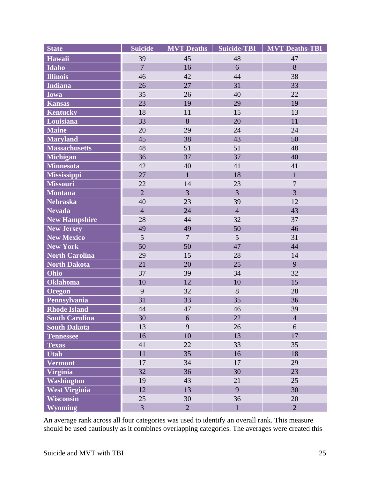| <b>State</b>          | <b>Suicide</b> | <b>MVT</b> Deaths | <b>Suicide-TBI</b> | <b>MVT Deaths-TBI</b> |
|-----------------------|----------------|-------------------|--------------------|-----------------------|
| <b>Hawaii</b>         | 39             | 45                | 48                 | 47                    |
| <b>Idaho</b>          | $\overline{7}$ | 16                | 6                  | 8                     |
| <b>Illinois</b>       | 46             | 42                | 44                 | 38                    |
| <b>Indiana</b>        | 26             | 27                | 31                 | 33                    |
| <b>Iowa</b>           | 35             | 26                | 40                 | 22                    |
| <b>Kansas</b>         | 23             | 19                | 29                 | 19                    |
| <b>Kentucky</b>       | 18             | 11                | 15                 | 13                    |
| Louisiana             | 33             | 8                 | 20                 | 11                    |
| <b>Maine</b>          | 20             | 29                | 24                 | 24                    |
| <b>Maryland</b>       | 45             | 38                | 43                 | 50                    |
| <b>Massachusetts</b>  | 48             | 51                | 51                 | 48                    |
| <b>Michigan</b>       | 36             | 37                | 37                 | 40                    |
| <b>Minnesota</b>      | 42             | 40                | 41                 | 41                    |
| <b>Mississippi</b>    | 27             | $\mathbf{1}$      | 18                 | $\mathbf{1}$          |
| <b>Missouri</b>       | 22             | 14                | 23                 | $\overline{7}$        |
| <b>Montana</b>        | $\overline{2}$ | 3                 | $\overline{3}$     | 3                     |
| <b>Nebraska</b>       | 40             | 23                | 39                 | 12                    |
| <b>Nevada</b>         | $\overline{4}$ | 24                | $\overline{4}$     | 43                    |
| <b>New Hampshire</b>  | 28             | 44                | 32                 | 37                    |
| <b>New Jersey</b>     | 49             | 49                | 50                 | 46                    |
| <b>New Mexico</b>     | 5              | $\overline{7}$    | 5                  | 31                    |
| <b>New York</b>       | 50             | 50                | 47                 | 44                    |
| <b>North Carolina</b> | 29             | 15                | 28                 | 14                    |
| <b>North Dakota</b>   | 21             | 20                | 25                 | 9                     |
| Ohio                  | 37             | 39                | 34                 | 32                    |
| <b>Oklahoma</b>       | 10             | 12                | 10                 | 15                    |
| <b>Oregon</b>         | 9              | 32                | 8                  | 28                    |
| Pennsylvania          | 31             | 33                | 35                 | 36                    |
| <b>Rhode Island</b>   | 44             | 47                | 46                 | 39                    |
| <b>South Carolina</b> | 30             | 6                 | 22                 | $\overline{4}$        |
| <b>South Dakota</b>   | 13             | 9                 | 26                 | 6                     |
| <b>Tennessee</b>      | 16             | 10                | 13                 | 17                    |
| <b>Texas</b>          | 41             | 22                | 33                 | 35                    |
| <b>Utah</b>           | 11             | 35                | 16                 | 18                    |
| <b>Vermont</b>        | 17             | 34                | 17                 | 29                    |
| <b>Virginia</b>       | 32             | 36                | 30                 | 23                    |
| <b>Washington</b>     | 19             | 43                | 21                 | 25                    |
| <b>West Virginia</b>  | 12             | 13                | 9                  | 30                    |
| <b>Wisconsin</b>      | 25             | 30                | 36                 | 20                    |
| <b>Wyoming</b>        | $\overline{3}$ | $\overline{2}$    | $\mathbf{1}$       | $\overline{2}$        |

An average rank across all four categories was used to identify an overall rank. This measure should be used cautiously as it combines overlapping categories. The averages were created this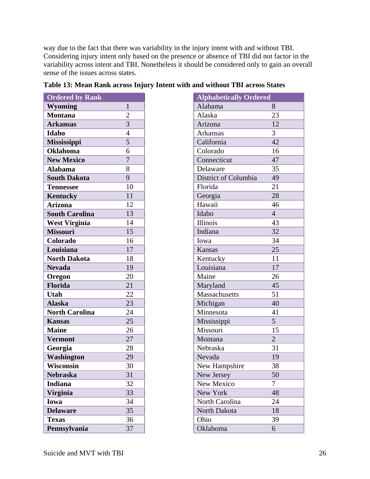way due to the fact that there was variability in the injury intent with and without TBI. Considering injury intent only based on the presence or absence of TBI did not factor in the variability across intent and TBI. Nonetheless it should be considered only to gain an overall sense of the issues across states.

| <b>Ordered by Rank</b> |                | <b>Alphabetically Ordered</b> |  |
|------------------------|----------------|-------------------------------|--|
| <b>Wyoming</b>         | 1              | Alabama                       |  |
| <b>Montana</b>         | $\overline{2}$ | Alaska                        |  |
| <b>Arkansas</b>        | 3              | Arizona                       |  |
| Idaho                  | $\overline{4}$ | Arkansas                      |  |
| <b>Mississippi</b>     | 5              | California                    |  |
| <b>Oklahoma</b>        | 6              | Colorado                      |  |
| <b>New Mexico</b>      | $\overline{7}$ | Connecticut                   |  |
| <b>Alabama</b>         | 8              | Delaware                      |  |
| <b>South Dakota</b>    | 9              | District of Columbia          |  |
| <b>Tennessee</b>       | 10             | Florida                       |  |
| Kentucky               | 11             | Georgia                       |  |
| <b>Arizona</b>         | 12             | Hawaii                        |  |
| <b>South Carolina</b>  | 13             | Idaho                         |  |
| <b>West Virginia</b>   | 14             | Illinois                      |  |
| <b>Missouri</b>        | 15             | Indiana                       |  |
| Colorado               | 16             | Iowa                          |  |
| Louisiana              | 17             | Kansas                        |  |
| <b>North Dakota</b>    | 18             | Kentucky                      |  |
| <b>Nevada</b>          | 19             | Louisiana                     |  |
| Oregon                 | 20             | Maine                         |  |
| Florida                | 21             | Maryland                      |  |
| <b>Utah</b>            | 22             | Massachusetts                 |  |
| <b>Alaska</b>          | 23             | Michigan                      |  |
| <b>North Carolina</b>  | 24             | Minnesota                     |  |
| <b>Kansas</b>          | 25             | Mississippi                   |  |
| <b>Maine</b>           | 26             | Missouri                      |  |
| <b>Vermont</b>         | 27             | Montana                       |  |
| Georgia                | 28             | Nebraska                      |  |
| <b>Washington</b>      | 29             | Nevada                        |  |
| Wisconsin              | 30             | New Hampshire                 |  |
| <b>Nebraska</b>        | 31             | New Jersey                    |  |
| <b>Indiana</b>         | 32             | New Mexico                    |  |
| <b>Virginia</b>        | 33             | New York                      |  |
| Iowa                   | 34             | North Carolina                |  |
| <b>Delaware</b>        | 35             | North Dakota                  |  |
| <b>Texas</b>           | 36             | Ohio                          |  |
| Pennsylvania           | 37             | Oklahoma                      |  |

|  |  |  | Table 13: Mean Rank across Injury Intent with and without TBI across States |  |  |  |
|--|--|--|-----------------------------------------------------------------------------|--|--|--|
|  |  |  |                                                                             |  |  |  |

| <b>Alphabetically Ordered</b> |                |
|-------------------------------|----------------|
| Alabama                       | 8              |
| Alaska                        | 23             |
| Arizona                       | 12             |
| Arkansas                      | 3              |
| California                    | 42             |
| Colorado                      | 16             |
| Connecticut                   | 47             |
| Delaware                      | 35             |
| District of Columbia          | 49             |
| Florida                       | 21             |
| Georgia                       | 28             |
| Hawaii                        | 46             |
| Idaho                         | $\overline{4}$ |
| Illinois                      | 43             |
| Indiana                       | 32             |
| Iowa                          | 34             |
| Kansas                        | 25             |
| Kentucky                      | 11             |
| Louisiana                     | 17             |
| Maine                         | 26             |
| Maryland                      | 45             |
| Massachusetts                 | 51             |
| Michigan                      | 40             |
| Minnesota                     | 41             |
| Mississippi                   | 5              |
| Missouri                      | 15             |
| Montana                       | $\overline{2}$ |
| Nebraska                      | 31             |
| Nevada                        | 19             |
| New Hampshire                 | 38             |
| New Jersey                    | 50             |
| New Mexico                    | 7              |
| New York                      | 48             |
| North Carolina                | 24             |
| North Dakota                  | 18             |
| Ohio                          | 39             |
| Oklahoma                      | 6              |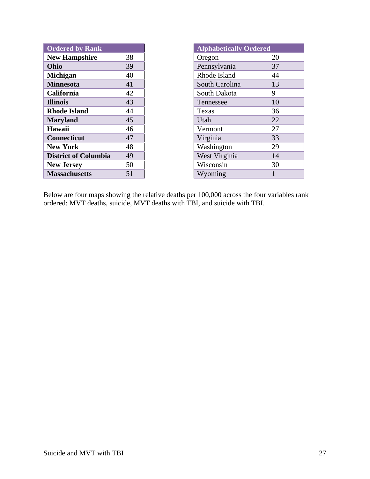| <b>Ordered by Rank</b>      |    | <b>Alphabetically Ordered</b> |
|-----------------------------|----|-------------------------------|
| <b>New Hampshire</b>        | 38 | 20<br>Oregon                  |
| Ohio                        | 39 | Pennsylvania<br>37            |
| <b>Michigan</b>             | 40 | Rhode Island<br>44            |
| <b>Minnesota</b>            | 41 | 13<br>South Carolina          |
| California                  | 42 | 9<br>South Dakota             |
| <b>Illinois</b>             | 43 | 10<br>Tennessee               |
| <b>Rhode Island</b>         | 44 | 36<br>Texas                   |
| <b>Maryland</b>             | 45 | 22<br>Utah                    |
| Hawaii                      | 46 | 27<br>Vermont                 |
| <b>Connecticut</b>          | 47 | 33<br>Virginia                |
| <b>New York</b>             | 48 | 29<br>Washington              |
| <b>District of Columbia</b> | 49 | West Virginia<br>14           |
| <b>New Jersey</b>           | 50 | Wisconsin<br>30               |
| <b>Massachusetts</b>        | 51 | 1<br>Wyoming                  |

| <b>Alphabetically Ordered</b> |    |  |  |  |  |
|-------------------------------|----|--|--|--|--|
| Oregon                        | 20 |  |  |  |  |
| Pennsylvania                  | 37 |  |  |  |  |
| Rhode Island                  | 44 |  |  |  |  |
| South Carolina                | 13 |  |  |  |  |
| South Dakota                  | 9  |  |  |  |  |
| Tennessee                     | 10 |  |  |  |  |
| Texas                         | 36 |  |  |  |  |
| Utah                          | 22 |  |  |  |  |
| Vermont                       | 27 |  |  |  |  |
| Virginia                      | 33 |  |  |  |  |
| Washington                    | 29 |  |  |  |  |
| West Virginia                 | 14 |  |  |  |  |
| Wisconsin                     | 30 |  |  |  |  |
| Wyoming                       | 1  |  |  |  |  |
|                               |    |  |  |  |  |

Below are four maps showing the relative deaths per 100,000 across the four variables rank ordered: MVT deaths, suicide, MVT deaths with TBI, and suicide with TBI.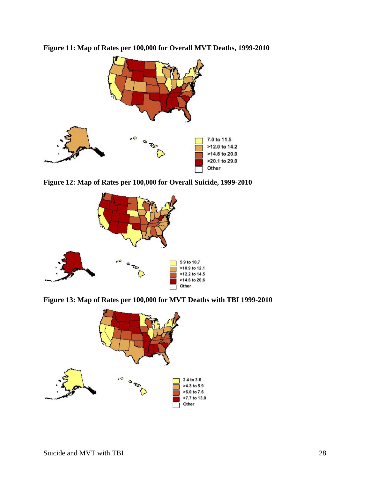

**Figure 11: Map of Rates per 100,000 for Overall MVT Deaths, 1999-2010** 

**Figure 12: Map of Rates per 100,000 for Overall Suicide, 1999-2010** 



**Figure 13: Map of Rates per 100,000 for MVT Deaths with TBI 1999-2010** 

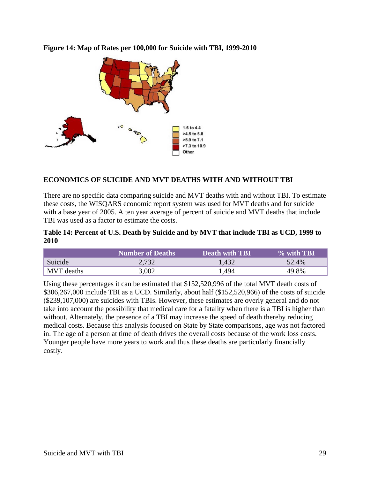

**Figure 14: Map of Rates per 100,000 for Suicide with TBI, 1999-2010** 

## **ECONOMICS OF SUICIDE AND MVT DEATHS WITH AND WITHOUT TBI**

There are no specific data comparing suicide and MVT deaths with and without TBI. To estimate these costs, the WISQARS economic report system was used for MVT deaths and for suicide with a base year of 2005. A ten year average of percent of suicide and MVT deaths that include TBI was used as a factor to estimate the costs.

#### **Table 14: Percent of U.S. Death by Suicide and by MVT that include TBI as UCD, 1999 to 2010**

|         | <b>Number of Deaths</b> | <b>Death with TBI</b> | $\%$ with TBI |
|---------|-------------------------|-----------------------|---------------|
| Suicide | 2.732                   | l.432                 | 52.4%         |
| deaths  | . വെ                    | 494                   | 8%            |

Using these percentages it can be estimated that \$152,520,996 of the total MVT death costs of \$306,267,000 include TBI as a UCD. Similarly, about half (\$152,520,966) of the costs of suicide (\$239,107,000) are suicides with TBIs. However, these estimates are overly general and do not take into account the possibility that medical care for a fatality when there is a TBI is higher than without. Alternately, the presence of a TBI may increase the speed of death thereby reducing medical costs. Because this analysis focused on State by State comparisons, age was not factored in. The age of a person at time of death drives the overall costs because of the work loss costs. Younger people have more years to work and thus these deaths are particularly financially costly.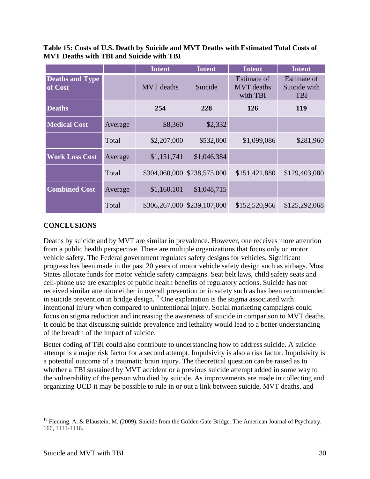**Table 15: Costs of U.S. Death by Suicide and MVT Deaths with Estimated Total Costs of MVT Deaths with TBI and Suicide with TBI** 

|                                   |         | <b>Intent</b>     | <b>Intent</b>               | <b>Intent</b>                                | <b>Intent</b>                             |
|-----------------------------------|---------|-------------------|-----------------------------|----------------------------------------------|-------------------------------------------|
| <b>Deaths and Type</b><br>of Cost |         | <b>MVT</b> deaths | Suicide                     | Estimate of<br><b>MVT</b> deaths<br>with TBI | Estimate of<br>Suicide with<br><b>TBI</b> |
| <b>Deaths</b>                     |         | 254               | 228                         | 126                                          | 119                                       |
| <b>Medical Cost</b>               | Average | \$8,360           | \$2,332                     |                                              |                                           |
|                                   | Total   | \$2,207,000       | \$532,000                   | \$1,099,086                                  | \$281,960                                 |
| <b>Work Loss Cost</b>             | Average | \$1,151,741       | \$1,046,384                 |                                              |                                           |
|                                   | Total   |                   | \$304,060,000 \$238,575,000 | \$151,421,880                                | \$129,403,080                             |
| <b>Combined Cost</b>              | Average | \$1,160,101       | \$1,048,715                 |                                              |                                           |
|                                   | Total   |                   | \$306,267,000 \$239,107,000 | \$152,520,966                                | \$125,292,068                             |

#### **CONCLUSIONS**

Deaths by suicide and by MVT are similar in prevalence. However, one receives more attention from a public health perspective. There are multiple organizations that focus only on motor vehicle safety. The Federal government regulates safety designs for vehicles. Significant progress has been made in the past 20 years of motor vehicle safety design such as airbags. Most States allocate funds for motor vehicle safety campaigns. Seat belt laws, child safety seats and cell-phone use are examples of public health benefits of regulatory actions. Suicide has not received similar attention either in overall prevention or in safety such as has been recommended in suicide prevention in bridge design.<sup>13</sup> One explanation is the stigma associated with intentional injury when compared to unintentional injury. Social marketing campaigns could focus on stigma reduction and increasing the awareness of suicide in comparison to MVT deaths. It could be that discussing suicide prevalence and lethality would lead to a better understanding of the breadth of the impact of suicide.

Better coding of TBI could also contribute to understanding how to address suicide. A suicide attempt is a major risk factor for a second attempt. Impulsivity is also a risk factor. Impulsivity is a potential outcome of a traumatic brain injury. The theoretical question can be raised as to whether a TBI sustained by MVT accident or a previous suicide attempt added in some way to the vulnerability of the person who died by suicide. As improvements are made in collecting and organizing UCD it may be possible to rule in or out a link between suicide, MVT deaths, and

 $\overline{a}$ 

<sup>&</sup>lt;sup>13</sup> Fleming, A. & Blaustein, M. (2009). Suicide from the Golden Gate Bridge. The American Journal of Psychiatry, 166, 1111-1116.